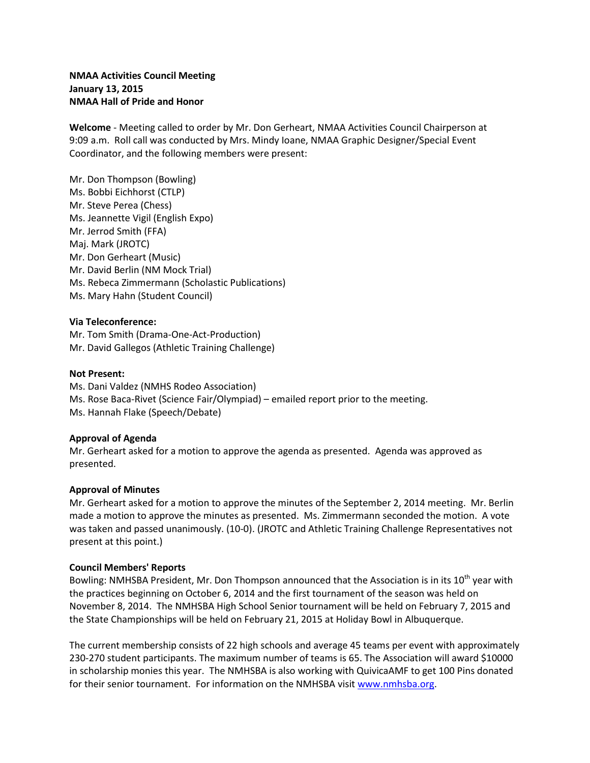# **NMAA Activities Council Meeting January 13, 2015 NMAA Hall of Pride and Honor**

**Welcome** - Meeting called to order by Mr. Don Gerheart, NMAA Activities Council Chairperson at 9:09 a.m. Roll call was conducted by Mrs. Mindy Ioane, NMAA Graphic Designer/Special Event Coordinator, and the following members were present:

Mr. Don Thompson (Bowling) Ms. Bobbi Eichhorst (CTLP) Mr. Steve Perea (Chess) Ms. Jeannette Vigil (English Expo) Mr. Jerrod Smith (FFA) Maj. Mark (JROTC) Mr. Don Gerheart (Music) Mr. David Berlin (NM Mock Trial) Ms. Rebeca Zimmermann (Scholastic Publications) Ms. Mary Hahn (Student Council)

### **Via Teleconference:**

Mr. Tom Smith (Drama-One-Act-Production) Mr. David Gallegos (Athletic Training Challenge)

### **Not Present:**

Ms. Dani Valdez (NMHS Rodeo Association) Ms. Rose Baca-Rivet (Science Fair/Olympiad) – emailed report prior to the meeting. Ms. Hannah Flake (Speech/Debate)

## **Approval of Agenda**

Mr. Gerheart asked for a motion to approve the agenda as presented. Agenda was approved as presented.

#### **Approval of Minutes**

Mr. Gerheart asked for a motion to approve the minutes of the September 2, 2014 meeting. Mr. Berlin made a motion to approve the minutes as presented. Ms. Zimmermann seconded the motion. A vote was taken and passed unanimously. (10-0). (JROTC and Athletic Training Challenge Representatives not present at this point.)

#### **Council Members' Reports**

Bowling: NMHSBA President, Mr. Don Thompson announced that the Association is in its 10<sup>th</sup> year with the practices beginning on October 6, 2014 and the first tournament of the season was held on November 8, 2014. The NMHSBA High School Senior tournament will be held on February 7, 2015 and the State Championships will be held on February 21, 2015 at Holiday Bowl in Albuquerque.

The current membership consists of 22 high schools and average 45 teams per event with approximately 230-270 student participants. The maximum number of teams is 65. The Association will award \$10000 in scholarship monies this year. The NMHSBA is also working with QuivicaAMF to get 100 Pins donated for their senior tournament. For information on the NMHSBA visit [www.nmhsba.org.](http://www.nmhsba.org/)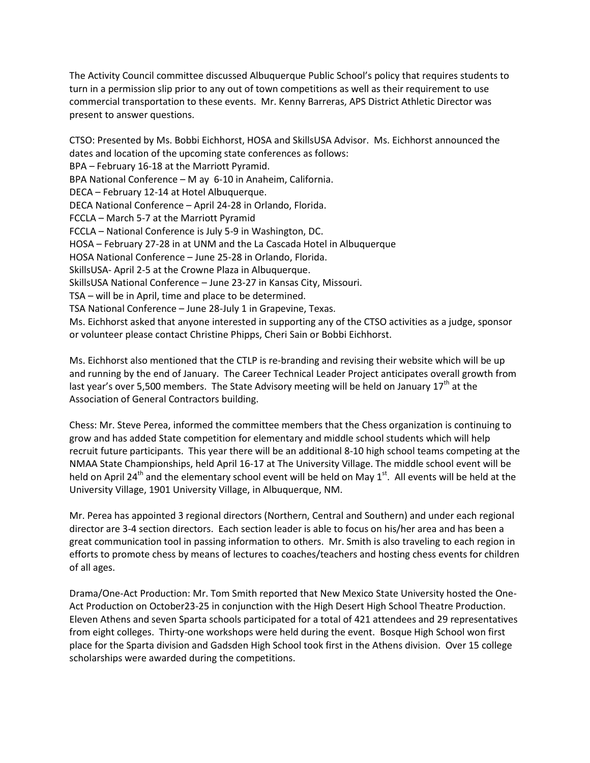The Activity Council committee discussed Albuquerque Public School's policy that requires students to turn in a permission slip prior to any out of town competitions as well as their requirement to use commercial transportation to these events. Mr. Kenny Barreras, APS District Athletic Director was present to answer questions.

CTSO: Presented by Ms. Bobbi Eichhorst, HOSA and SkillsUSA Advisor. Ms. Eichhorst announced the dates and location of the upcoming state conferences as follows: BPA – February 16-18 at the Marriott Pyramid. BPA National Conference – M ay 6-10 in Anaheim, California. DECA – February 12-14 at Hotel Albuquerque. DECA National Conference – April 24-28 in Orlando, Florida. FCCLA – March 5-7 at the Marriott Pyramid FCCLA – National Conference is July 5-9 in Washington, DC. HOSA – February 27-28 in at UNM and the La Cascada Hotel in Albuquerque HOSA National Conference – June 25-28 in Orlando, Florida. SkillsUSA- April 2-5 at the Crowne Plaza in Albuquerque. SkillsUSA National Conference – June 23-27 in Kansas City, Missouri. TSA – will be in April, time and place to be determined. TSA National Conference – June 28-July 1 in Grapevine, Texas. Ms. Eichhorst asked that anyone interested in supporting any of the CTSO activities as a judge, sponsor or volunteer please contact Christine Phipps, Cheri Sain or Bobbi Eichhorst.

Ms. Eichhorst also mentioned that the CTLP is re-branding and revising their website which will be up and running by the end of January. The Career Technical Leader Project anticipates overall growth from last year's over 5,500 members. The State Advisory meeting will be held on January 17<sup>th</sup> at the Association of General Contractors building.

Chess: Mr. Steve Perea, informed the committee members that the Chess organization is continuing to grow and has added State competition for elementary and middle school students which will help recruit future participants. This year there will be an additional 8-10 high school teams competing at the NMAA State Championships, held April 16-17 at The University Village. The middle school event will be held on April 24<sup>th</sup> and the elementary school event will be held on May 1<sup>st</sup>. All events will be held at the University Village, 1901 University Village, in Albuquerque, NM.

Mr. Perea has appointed 3 regional directors (Northern, Central and Southern) and under each regional director are 3-4 section directors. Each section leader is able to focus on his/her area and has been a great communication tool in passing information to others. Mr. Smith is also traveling to each region in efforts to promote chess by means of lectures to coaches/teachers and hosting chess events for children of all ages.

Drama/One-Act Production: Mr. Tom Smith reported that New Mexico State University hosted the One-Act Production on October23-25 in conjunction with the High Desert High School Theatre Production. Eleven Athens and seven Sparta schools participated for a total of 421 attendees and 29 representatives from eight colleges. Thirty-one workshops were held during the event. Bosque High School won first place for the Sparta division and Gadsden High School took first in the Athens division. Over 15 college scholarships were awarded during the competitions.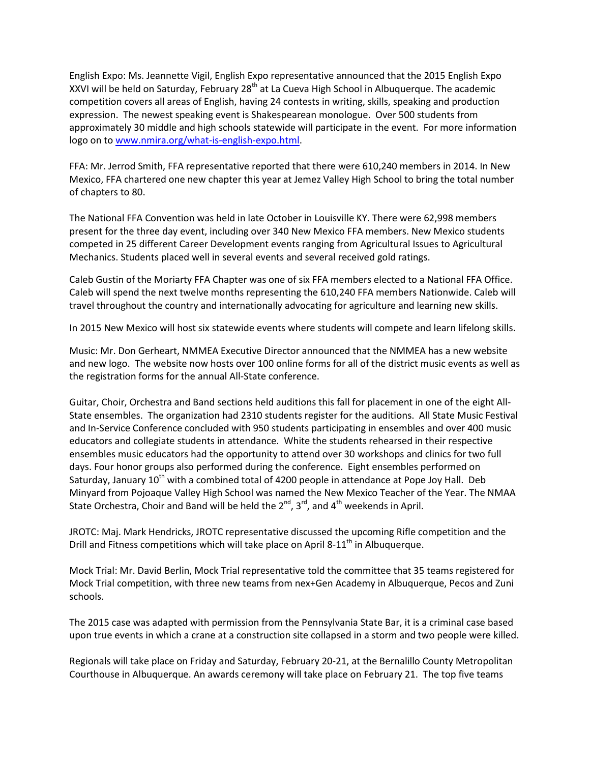English Expo: Ms. Jeannette Vigil, English Expo representative announced that the 2015 English Expo XXVI will be held on Saturday, February 28<sup>th</sup> at La Cueva High School in Albuquerque. The academic competition covers all areas of English, having 24 contests in writing, skills, speaking and production expression. The newest speaking event is Shakespearean monologue. Over 500 students from approximately 30 middle and high schools statewide will participate in the event. For more information logo on to [www.nmira.org/what-is-english-expo.html.](http://www.nmira.org/what-is-english-expo.html)

FFA: Mr. Jerrod Smith, FFA representative reported that there were 610,240 members in 2014. In New Mexico, FFA chartered one new chapter this year at Jemez Valley High School to bring the total number of chapters to 80.

The National FFA Convention was held in late October in Louisville KY. There were 62,998 members present for the three day event, including over 340 New Mexico FFA members. New Mexico students competed in 25 different Career Development events ranging from Agricultural Issues to Agricultural Mechanics. Students placed well in several events and several received gold ratings.

Caleb Gustin of the Moriarty FFA Chapter was one of six FFA members elected to a National FFA Office. Caleb will spend the next twelve months representing the 610,240 FFA members Nationwide. Caleb will travel throughout the country and internationally advocating for agriculture and learning new skills.

In 2015 New Mexico will host six statewide events where students will compete and learn lifelong skills.

Music: Mr. Don Gerheart, NMMEA Executive Director announced that the NMMEA has a new website and new logo. The website now hosts over 100 online forms for all of the district music events as well as the registration forms for the annual All-State conference.

Guitar, Choir, Orchestra and Band sections held auditions this fall for placement in one of the eight All-State ensembles. The organization had 2310 students register for the auditions. All State Music Festival and In-Service Conference concluded with 950 students participating in ensembles and over 400 music educators and collegiate students in attendance. White the students rehearsed in their respective ensembles music educators had the opportunity to attend over 30 workshops and clinics for two full days. Four honor groups also performed during the conference. Eight ensembles performed on Saturday, January 10<sup>th</sup> with a combined total of 4200 people in attendance at Pope Joy Hall. Deb Minyard from Pojoaque Valley High School was named the New Mexico Teacher of the Year. The NMAA State Orchestra, Choir and Band will be held the  $2^{nd}$ ,  $3^{rd}$ , and  $4^{th}$  weekends in April.

JROTC: Maj. Mark Hendricks, JROTC representative discussed the upcoming Rifle competition and the Drill and Fitness competitions which will take place on April 8-11<sup>th</sup> in Albuquerque.

Mock Trial: Mr. David Berlin, Mock Trial representative told the committee that 35 teams registered for Mock Trial competition, with three new teams from nex+Gen Academy in Albuquerque, Pecos and Zuni schools.

The 2015 case was adapted with permission from the Pennsylvania State Bar, it is a criminal case based upon true events in which a crane at a construction site collapsed in a storm and two people were killed.

Regionals will take place on Friday and Saturday, February 20-21, at the Bernalillo County Metropolitan Courthouse in Albuquerque. An awards ceremony will take place on February 21. The top five teams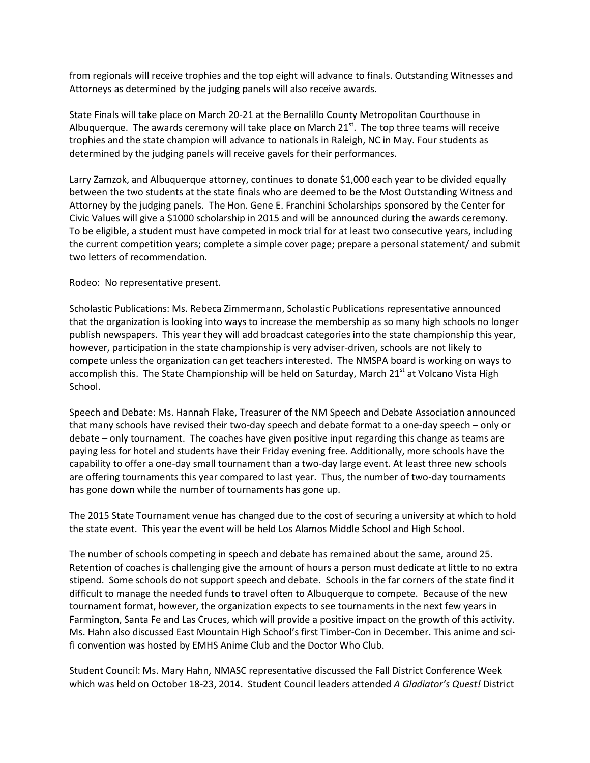from regionals will receive trophies and the top eight will advance to finals. Outstanding Witnesses and Attorneys as determined by the judging panels will also receive awards.

State Finals will take place on March 20-21 at the Bernalillo County Metropolitan Courthouse in Albuquerque. The awards ceremony will take place on March  $21<sup>st</sup>$ . The top three teams will receive trophies and the state champion will advance to nationals in Raleigh, NC in May. Four students as determined by the judging panels will receive gavels for their performances.

Larry Zamzok, and Albuquerque attorney, continues to donate \$1,000 each year to be divided equally between the two students at the state finals who are deemed to be the Most Outstanding Witness and Attorney by the judging panels. The Hon. Gene E. Franchini Scholarships sponsored by the Center for Civic Values will give a \$1000 scholarship in 2015 and will be announced during the awards ceremony. To be eligible, a student must have competed in mock trial for at least two consecutive years, including the current competition years; complete a simple cover page; prepare a personal statement/ and submit two letters of recommendation.

Rodeo: No representative present.

Scholastic Publications: Ms. Rebeca Zimmermann, Scholastic Publications representative announced that the organization is looking into ways to increase the membership as so many high schools no longer publish newspapers. This year they will add broadcast categories into the state championship this year, however, participation in the state championship is very adviser-driven, schools are not likely to compete unless the organization can get teachers interested. The NMSPA board is working on ways to accomplish this. The State Championship will be held on Saturday, March 21<sup>st</sup> at Volcano Vista High School.

Speech and Debate: Ms. Hannah Flake, Treasurer of the NM Speech and Debate Association announced that many schools have revised their two-day speech and debate format to a one-day speech – only or debate – only tournament. The coaches have given positive input regarding this change as teams are paying less for hotel and students have their Friday evening free. Additionally, more schools have the capability to offer a one-day small tournament than a two-day large event. At least three new schools are offering tournaments this year compared to last year. Thus, the number of two-day tournaments has gone down while the number of tournaments has gone up.

The 2015 State Tournament venue has changed due to the cost of securing a university at which to hold the state event. This year the event will be held Los Alamos Middle School and High School.

The number of schools competing in speech and debate has remained about the same, around 25. Retention of coaches is challenging give the amount of hours a person must dedicate at little to no extra stipend. Some schools do not support speech and debate. Schools in the far corners of the state find it difficult to manage the needed funds to travel often to Albuquerque to compete. Because of the new tournament format, however, the organization expects to see tournaments in the next few years in Farmington, Santa Fe and Las Cruces, which will provide a positive impact on the growth of this activity. Ms. Hahn also discussed East Mountain High School's first Timber-Con in December. This anime and scifi convention was hosted by EMHS Anime Club and the Doctor Who Club.

Student Council: Ms. Mary Hahn, NMASC representative discussed the Fall District Conference Week which was held on October 18-23, 2014. Student Council leaders attended *A Gladiator's Quest!* District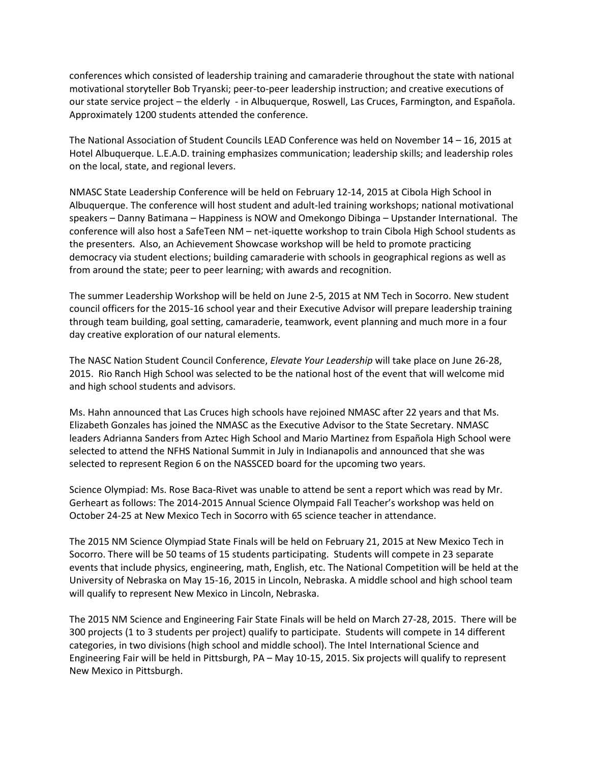conferences which consisted of leadership training and camaraderie throughout the state with national motivational storyteller Bob Tryanski; peer-to-peer leadership instruction; and creative executions of our state service project – the elderly - in Albuquerque, Roswell, Las Cruces, Farmington, and Española. Approximately 1200 students attended the conference.

The National Association of Student Councils LEAD Conference was held on November 14 – 16, 2015 at Hotel Albuquerque. L.E.A.D. training emphasizes communication; leadership skills; and leadership roles on the local, state, and regional levers.

NMASC State Leadership Conference will be held on February 12-14, 2015 at Cibola High School in Albuquerque. The conference will host student and adult-led training workshops; national motivational speakers – Danny Batimana – Happiness is NOW and Omekongo Dibinga – Upstander International. The conference will also host a SafeTeen NM – net-iquette workshop to train Cibola High School students as the presenters. Also, an Achievement Showcase workshop will be held to promote practicing democracy via student elections; building camaraderie with schools in geographical regions as well as from around the state; peer to peer learning; with awards and recognition.

The summer Leadership Workshop will be held on June 2-5, 2015 at NM Tech in Socorro. New student council officers for the 2015-16 school year and their Executive Advisor will prepare leadership training through team building, goal setting, camaraderie, teamwork, event planning and much more in a four day creative exploration of our natural elements.

The NASC Nation Student Council Conference, *Elevate Your Leadership* will take place on June 26-28, 2015. Rio Ranch High School was selected to be the national host of the event that will welcome mid and high school students and advisors.

Ms. Hahn announced that Las Cruces high schools have rejoined NMASC after 22 years and that Ms. Elizabeth Gonzales has joined the NMASC as the Executive Advisor to the State Secretary. NMASC leaders Adrianna Sanders from Aztec High School and Mario Martinez from Española High School were selected to attend the NFHS National Summit in July in Indianapolis and announced that she was selected to represent Region 6 on the NASSCED board for the upcoming two years.

Science Olympiad: Ms. Rose Baca-Rivet was unable to attend be sent a report which was read by Mr. Gerheart as follows: The 2014-2015 Annual Science Olympaid Fall Teacher's workshop was held on October 24-25 at New Mexico Tech in Socorro with 65 science teacher in attendance.

The 2015 NM Science Olympiad State Finals will be held on February 21, 2015 at New Mexico Tech in Socorro. There will be 50 teams of 15 students participating. Students will compete in 23 separate events that include physics, engineering, math, English, etc. The National Competition will be held at the University of Nebraska on May 15-16, 2015 in Lincoln, Nebraska. A middle school and high school team will qualify to represent New Mexico in Lincoln, Nebraska.

The 2015 NM Science and Engineering Fair State Finals will be held on March 27-28, 2015. There will be 300 projects (1 to 3 students per project) qualify to participate. Students will compete in 14 different categories, in two divisions (high school and middle school). The Intel International Science and Engineering Fair will be held in Pittsburgh, PA – May 10-15, 2015. Six projects will qualify to represent New Mexico in Pittsburgh.